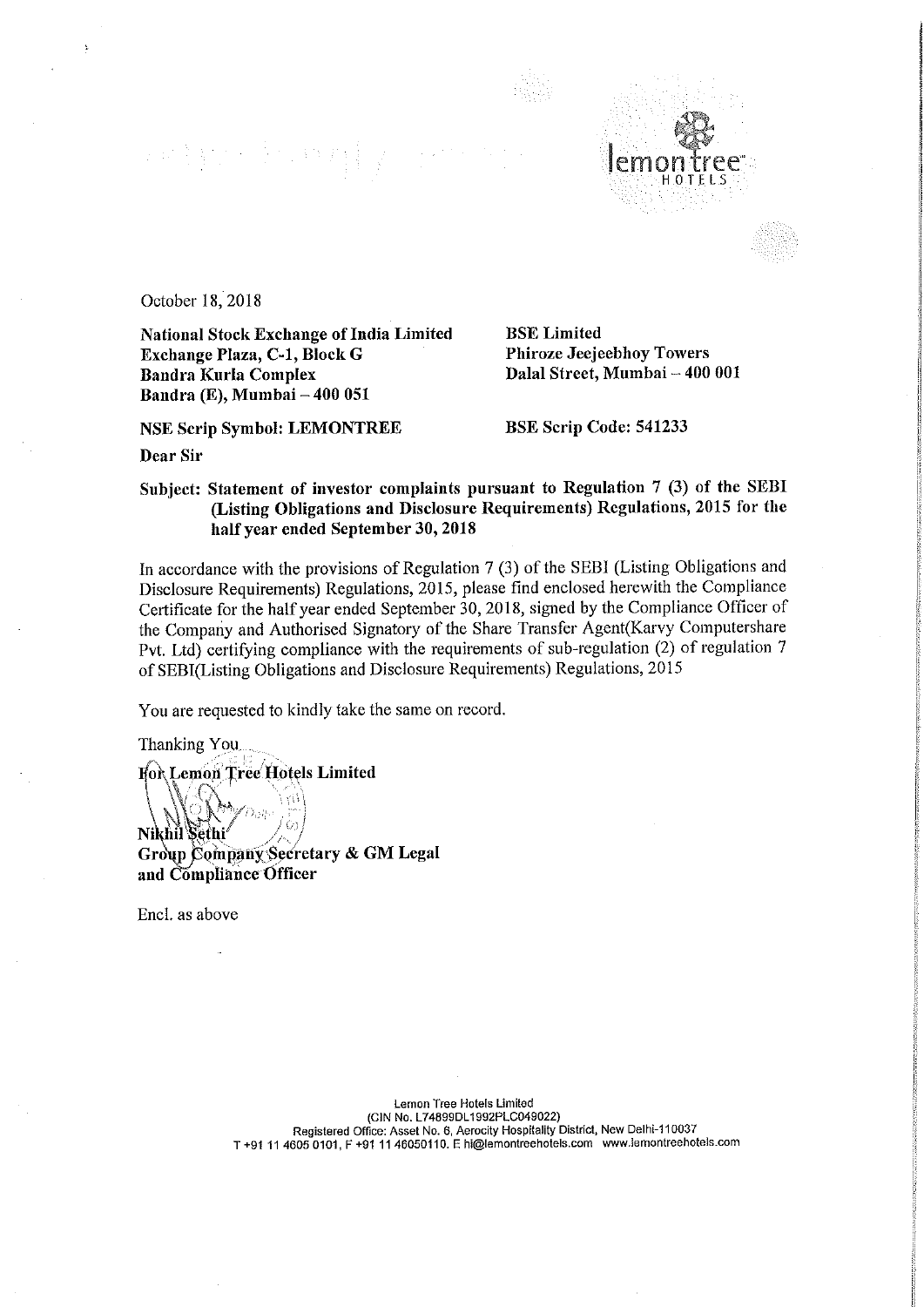## (中国) ( ) ( ) ( ) ( ) ( )



October 18,2018

National Stock Exchange of India Limited<br>
Exchange Plaza, C-1, Block G<br>
Phiroze Jeejeebhoy Towers Exchange Plaza, C-1, Block G Bandra Kurla Complex Bandra (E), Mumbai — 400 051

NSE Scrip Symbol: LEMONTREE BSE Scrip Code: 541233

Dalal Street, Mumbai - 400 001

Dear Sir

## Subject: Statement of investor complaints pursuant to Regulation <sup>7</sup> (3) of the SEBI (Listing Obligations and Disclosure Requirements) Regulations, <sup>2015</sup> for the half year ended September 30, <sup>2018</sup>

In accordance with the provisions of Regulation 7 (3) of the SEBI (Listing Obligations and Disclosure Requirements) Regulations, 2015, please find enclosed herewith the Compliance Certificate for the half year ended September 30, 2018, signed by the Compliance Officer of the Company and Authorised Signatory of the Share Transfer Agent(Karvy Computershare Pvt. Ltd) certifying compliance with the requirements of sub-regulation (2) of regulation 7 of SEBI(Listing Obligations and Disclosure Requirements) Regulations, 2015

You are requested to kindly take the same on record.

Thanking You .

For Lemon Tree Hotels Limited

Nikhil Sethi Group Company Secretary & GM Legal and Comphance Officer

Encl. as above